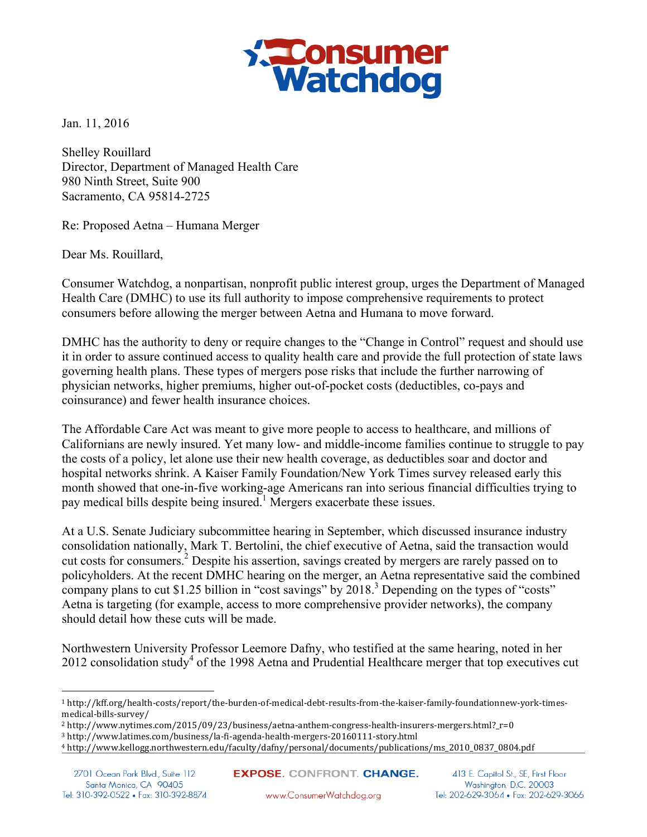

Jan. 11, 2016

Shelley Rouillard Director, Department of Managed Health Care 980 Ninth Street, Suite 900 Sacramento, CA 95814-2725

Re: Proposed Aetna – Humana Merger

Dear Ms. Rouillard,

Consumer Watchdog, a nonpartisan, nonprofit public interest group, urges the Department of Managed Health Care (DMHC) to use its full authority to impose comprehensive requirements to protect consumers before allowing the merger between Aetna and Humana to move forward.

DMHC has the authority to deny or require changes to the "Change in Control" request and should use it in order to assure continued access to quality health care and provide the full protection of state laws governing health plans. These types of mergers pose risks that include the further narrowing of physician networks, higher premiums, higher out-of-pocket costs (deductibles, co-pays and coinsurance) and fewer health insurance choices.

The Affordable Care Act was meant to give more people to access to healthcare, and millions of Californians are newly insured. Yet many low- and middle-income families continue to struggle to pay the costs of a policy, let alone use their new health coverage, as deductibles soar and doctor and hospital networks shrink. A Kaiser Family Foundation/New York Times survey released early this month showed that one-in-five working-age Americans ran into serious financial difficulties trying to pay medical bills despite being insured.<sup>1</sup> Mergers exacerbate these issues.

At a U.S. Senate Judiciary subcommittee hearing in September, which discussed insurance industry consolidation nationally, Mark T. Bertolini, the chief executive of Aetna, said the transaction would cut costs for consumers.<sup>2</sup> Despite his assertion, savings created by mergers are rarely passed on to policyholders. At the recent DMHC hearing on the merger, an Aetna representative said the combined company plans to cut \$1.25 billion in "cost savings" by 2018.<sup>3</sup> Depending on the types of "costs" Aetna is targeting (for example, access to more comprehensive provider networks), the company should detail how these cuts will be made.

Northwestern University Professor Leemore Dafny, who testified at the same hearing, noted in her 2012 consolidation study<sup>4</sup> of the 1998 Aetna and Prudential Healthcare merger that top executives cut

 $\overline{a}$ 

**EXPOSE.** CONFRONT. CHANGE. www.ConsumerWatchdog.org

413 E. Capitol St., SE, First Floor Washington, D.C. 20003 Tel: 202-629-3064 · Fax: 202-629-3066

<sup>1</sup> http://kff.org/health-costs/report/the-burden-of-medical-debt-results-from-the-kaiser-family-foundationnew-york-timesmedical-bills-survey/

<sup>2</sup> http://www.nytimes.com/2015/09/23/business/aetna-anthem-congress-health-insurers-mergers.html?\_r=0

<sup>3</sup> http://www.latimes.com/business/la-fi-agenda-health-mergers-20160111-story.html

<sup>4</sup> http://www.kellogg.northwestern.edu/faculty/dafny/personal/documents/publications/ms\_2010\_0837\_0804.pdf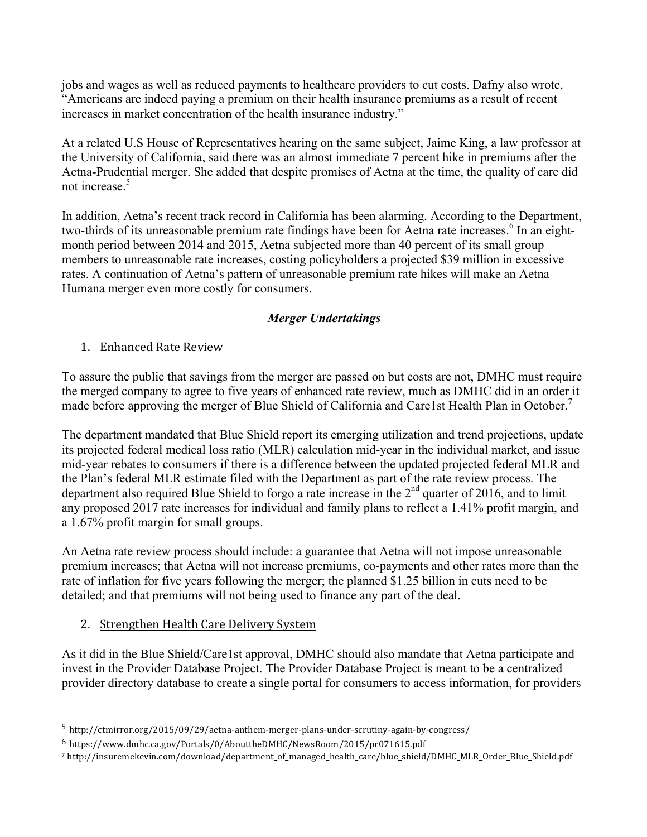jobs and wages as well as reduced payments to healthcare providers to cut costs. Dafny also wrote, "Americans are indeed paying a premium on their health insurance premiums as a result of recent increases in market concentration of the health insurance industry."

At a related U.S House of Representatives hearing on the same subject, Jaime King, a law professor at the University of California, said there was an almost immediate 7 percent hike in premiums after the Aetna-Prudential merger. She added that despite promises of Aetna at the time, the quality of care did not increase.<sup>5</sup>

In addition, Aetna's recent track record in California has been alarming. According to the Department, two-thirds of its unreasonable premium rate findings have been for Aetna rate increases.<sup>6</sup> In an eightmonth period between 2014 and 2015, Aetna subjected more than 40 percent of its small group members to unreasonable rate increases, costing policyholders a projected \$39 million in excessive rates. A continuation of Aetna's pattern of unreasonable premium rate hikes will make an Aetna – Humana merger even more costly for consumers.

### *Merger Undertakings*

### 1. Enhanced Rate Review

To assure the public that savings from the merger are passed on but costs are not, DMHC must require the merged company to agree to five years of enhanced rate review, much as DMHC did in an order it made before approving the merger of Blue Shield of California and Care1st Health Plan in October.<sup>7</sup>

The department mandated that Blue Shield report its emerging utilization and trend projections, update its projected federal medical loss ratio (MLR) calculation mid-year in the individual market, and issue mid-year rebates to consumers if there is a difference between the updated projected federal MLR and the Plan's federal MLR estimate filed with the Department as part of the rate review process. The department also required Blue Shield to forgo a rate increase in the  $2<sup>nd</sup>$  quarter of 2016, and to limit any proposed 2017 rate increases for individual and family plans to reflect a 1.41% profit margin, and a 1.67% profit margin for small groups.

An Aetna rate review process should include: a guarantee that Aetna will not impose unreasonable premium increases; that Aetna will not increase premiums, co-payments and other rates more than the rate of inflation for five years following the merger; the planned \$1.25 billion in cuts need to be detailed; and that premiums will not being used to finance any part of the deal.

# 2. Strengthen Health Care Delivery System

 $\overline{a}$ 

As it did in the Blue Shield/Care1st approval, DMHC should also mandate that Aetna participate and invest in the Provider Database Project. The Provider Database Project is meant to be a centralized provider directory database to create a single portal for consumers to access information, for providers

<sup>5</sup> http://ctmirror.org/2015/09/29/aetna-anthem-merger-plans-under-scrutiny-again-by-congress/

<sup>6</sup> https://www.dmhc.ca.gov/Portals/0/AbouttheDMHC/NewsRoom/2015/pr071615.pdf

<sup>7</sup> http://insuremekevin.com/download/department\_of\_managed\_health\_care/blue\_shield/DMHC\_MLR\_Order\_Blue\_Shield.pdf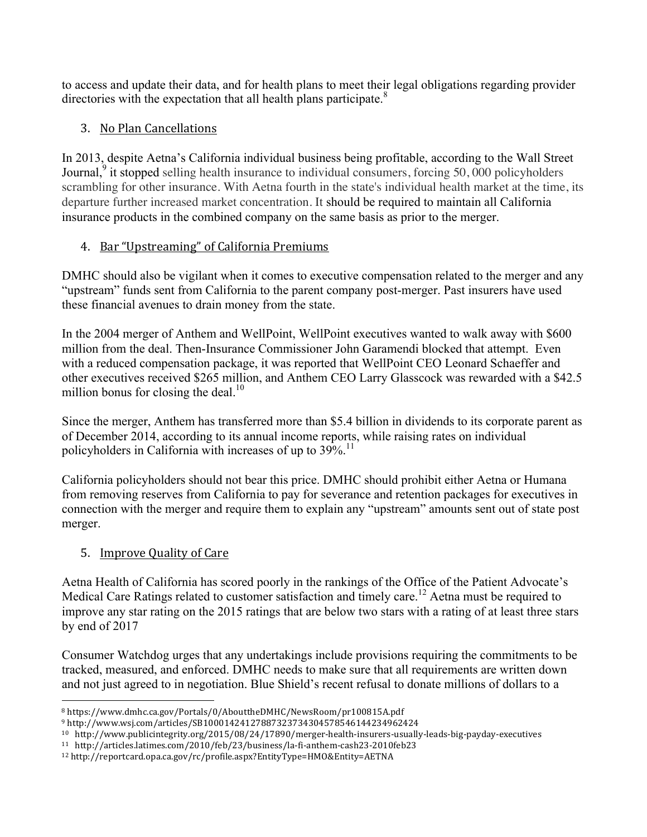to access and update their data, and for health plans to meet their legal obligations regarding provider directories with the expectation that all health plans participate. $8$ 

## 3. No Plan Cancellations

In 2013, despite Aetna's California individual business being profitable, according to the Wall Street Journal,<sup>9</sup> it stopped selling health insurance to individual consumers, forcing 50,000 policyholders scrambling for other insurance. With Aetna fourth in the state's individual health market at the time, its departure further increased market concentration. It should be required to maintain all California insurance products in the combined company on the same basis as prior to the merger.

### 4. Bar "Upstreaming" of California Premiums

DMHC should also be vigilant when it comes to executive compensation related to the merger and any "upstream" funds sent from California to the parent company post-merger. Past insurers have used these financial avenues to drain money from the state.

In the 2004 merger of Anthem and WellPoint, WellPoint executives wanted to walk away with \$600 million from the deal. Then-Insurance Commissioner John Garamendi blocked that attempt. Even with a reduced compensation package, it was reported that WellPoint CEO Leonard Schaeffer and other executives received \$265 million, and Anthem CEO Larry Glasscock was rewarded with a \$42.5 million bonus for closing the deal. $10$ 

Since the merger, Anthem has transferred more than \$5.4 billion in dividends to its corporate parent as of December 2014, according to its annual income reports, while raising rates on individual policyholders in California with increases of up to 39%.<sup>11</sup>

California policyholders should not bear this price. DMHC should prohibit either Aetna or Humana from removing reserves from California to pay for severance and retention packages for executives in connection with the merger and require them to explain any "upstream" amounts sent out of state post merger.

### 5. Improve Quality of Care

Aetna Health of California has scored poorly in the rankings of the Office of the Patient Advocate's Medical Care Ratings related to customer satisfaction and timely care.<sup>12</sup> Aetna must be required to improve any star rating on the 2015 ratings that are below two stars with a rating of at least three stars by end of 2017

Consumer Watchdog urges that any undertakings include provisions requiring the commitments to be tracked, measured, and enforced. DMHC needs to make sure that all requirements are written down and not just agreed to in negotiation. Blue Shield's recent refusal to donate millions of dollars to a

 $\overline{a}$ <sup>8</sup> https://www.dmhc.ca.gov/Portals/0/AbouttheDMHC/NewsRoom/pr100815A.pdf

<sup>9</sup> http://www.wsj.com/articles/SB10001424127887323734304578546144234962424

<sup>10</sup> http://www.publicintegrity.org/2015/08/24/17890/merger-health-insurers-usually-leads-big-payday-executives

<sup>11</sup> http://articles.latimes.com/2010/feb/23/business/la-fi-anthem-cash23-2010feb23

<sup>12</sup> http://reportcard.opa.ca.gov/rc/profile.aspx?EntityType=HMO&Entity=AETNA